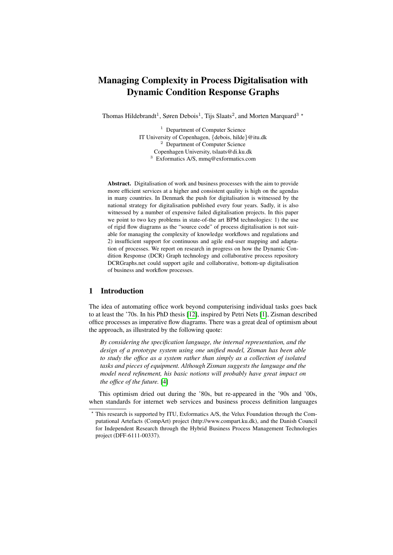# Managing Complexity in Process Digitalisation with Dynamic Condition Response Graphs

Thomas Hildebrandt<sup>1</sup>, Søren Debois<sup>1</sup>, Tijs Slaats<sup>2</sup>, and Morten Marquard<sup>3</sup> \*

<sup>1</sup> Department of Computer Science IT University of Copenhagen, {debois, hilde}@itu.dk <sup>2</sup> Department of Computer Science Copenhagen University, tslaats@di.ku.dk <sup>3</sup> Exformatics A/S, mmq@exformatics.com

Abstract. Digitalisation of work and business processes with the aim to provide more efficient services at a higher and consistent quality is high on the agendas in many countries. In Denmark the push for digitalisation is witnessed by the national strategy for digitalisation published every four years. Sadly, it is also witnessed by a number of expensive failed digitalisation projects. In this paper we point to two key problems in state-of-the art BPM technologies: 1) the use of rigid flow diagrams as the "source code" of process digitalisation is not suitable for managing the complexity of knowledge workflows and regulations and 2) insufficient support for continuous and agile end-user mapping and adaptation of processes. We report on research in progress on how the Dynamic Condition Response (DCR) Graph technology and collaborative process repository DCRGraphs.net could support agile and collaborative, bottom-up digitalisation of business and workflow processes.

## 1 Introduction

The idea of automating office work beyond computerising individual tasks goes back to at least the '70s. In his PhD thesis [\[12\]](#page-7-0), inspired by Petri Nets [\[1\]](#page-7-1), Zisman described office processes as imperative flow diagrams. There was a great deal of optimism about the approach, as illustrated by the following quote:

*By considering the specification language, the internal representation, and the design of a prototype system using one unified model, Zisman has been able to study the office as a system rather than simply as a collection of isolated tasks and pieces of equipment. Although Zisman suggests the language and the model need refinement, his basic notions will probably have great impact on the office of the future.* [\[4\]](#page-7-2)

This optimism dried out during the '80s, but re-appeared in the '90s and '00s, when standards for internet web services and business process definition languages

<sup>?</sup> This research is supported by ITU, Exformatics A/S, the Velux Foundation through the Computational Artefacts (CompArt) project (http://www.compart.ku.dk), and the Danish Council for Independent Research through the Hybrid Business Process Management Technologies project (DFF-6111-00337).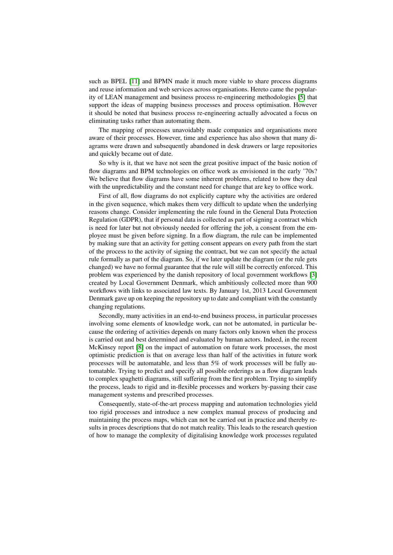such as BPEL [\[11\]](#page-7-3) and BPMN made it much more viable to share process diagrams and reuse information and web services across organisations. Hereto came the popularity of LEAN management and business process re-engineering methodologies [\[5\]](#page-7-4) that support the ideas of mapping business processes and process optimisation. However it should be noted that business process re-engineering actually advocated a focus on eliminating tasks rather than automating them.

The mapping of processes unavoidably made companies and organisations more aware of their processes. However, time and experience has also shown that many diagrams were drawn and subsequently abandoned in desk drawers or large repositories and quickly became out of date.

So why is it, that we have not seen the great positive impact of the basic notion of flow diagrams and BPM technologies on office work as envisioned in the early '70s? We believe that flow diagrams have some inherent problems, related to how they deal with the unpredictability and the constant need for change that are key to office work.

First of all, flow diagrams do not explicitly capture why the activities are ordered in the given sequence, which makes them very difficult to update when the underlying reasons change. Consider implementing the rule found in the General Data Protection Regulation (GDPR), that if personal data is collected as part of signing a contract which is need for later but not obviously needed for offering the job, a consent from the employee must be given before signing. In a flow diagram, the rule can be implemented by making sure that an activity for getting consent appears on every path from the start of the process to the activity of signing the contract, but we can not specify the actual rule formally as part of the diagram. So, if we later update the diagram (or the rule gets changed) we have no formal guarantee that the rule will still be correctly enforced. This problem was experienced by the danish repository of local government workflows [\[3\]](#page-7-5) created by Local Government Denmark, which ambitiously collected more than 900 workflows with links to associated law texts. By January 1st, 2013 Local Government Denmark gave up on keeping the repository up to date and compliant with the constantly changing regulations.

Secondly, many activities in an end-to-end business process, in particular processes involving some elements of knowledge work, can not be automated, in particular because the ordering of activities depends on many factors only known when the process is carried out and best determined and evaluated by human actors. Indeed, in the recent McKinsey report [\[8\]](#page-7-6) on the impact of automation on future work processes, the most optimistic prediction is that on average less than half of the activities in future work processes will be automatable, and less than 5% of work processes will be fully automatable. Trying to predict and specify all possible orderings as a flow diagram leads to complex spaghetti diagrams, still suffering from the first problem. Trying to simplify the process, leads to rigid and in-flexible processes and workers by-passing their case management systems and prescribed processes.

Consequently, state-of-the-art process mapping and automation technologies yield too rigid processes and introduce a new complex manual process of producing and maintaining the process maps, which can not be carried out in practice and thereby results in proces descriptions that do not match reality. This leads to the research question of how to manage the complexity of digitalising knowledge work processes regulated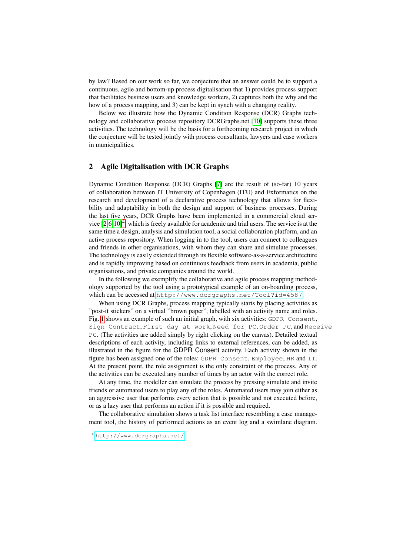by law? Based on our work so far, we conjecture that an answer could be to support a continuous, agile and bottom-up process digitalisation that 1) provides process support that facilitates business users and knowledge workers, 2) captures both the why and the how of a process mapping, and 3) can be kept in synch with a changing reality.

Below we illustrate how the Dynamic Condition Response (DCR) Graphs technology and collaborative process repository DCRGraphs.net [\[10\]](#page-7-7) supports these three activities. The technology will be the basis for a forthcoming research project in which the conjecture will be tested jointly with process consultants, lawyers and case workers in municipalities.

#### 2 Agile Digitalisation with DCR Graphs

Dynamic Condition Response (DCR) Graphs [\[7\]](#page-7-8) are the result of (so-far) 10 years of collaboration between IT University of Copenhagen (ITU) and Exformatics on the research and development of a declarative process technology that allows for flexibility and adaptability in both the design and support of business processes. During the last five years, DCR Graphs have been implemented in a commercial cloud service  $[2,6,10]^4$  $[2,6,10]^4$  $[2,6,10]^4$  $[2,6,10]^4$  $[2,6,10]^4$ , which is freely available for academic and trial users. The service is at the same time a design, analysis and simulation tool, a social collaboration platform, and an active process repository. When logging in to the tool, users can connect to colleagues and friends in other organisations, with whom they can share and simulate processes. The technology is easily extended through its flexible software-as-a-service architecture and is rapidly improving based on continuous feedback from users in academia, public organisations, and private companies around the world.

In the following we exemplify the collaborative and agile process mapping methodology supported by the tool using a prototypical example of an on-boarding process, which can be accessed at <http://www.dcrgraphs.net/Tool?id=4587>.

When using DCR Graphs, process mapping typically starts by placing activities as "post-it stickers" on a virtual "brown paper", labelled with an activity name and roles. Fig. [1](#page-3-0) shows an example of such an initial graph, with six activities: GDPR Consent, Sign Contract, First day at work, Need for PC, Order PC, and Receive PC. (The activities are added simply by right clicking on the canvas). Detailed textual descriptions of each activity, including links to external references, can be added, as illustrated in the figure for the GDPR Consent activity. Each activity shown in the figure has been assigned one of the roles: GDPR Consent, Employee, HR and IT. At the present point, the role assignment is the only constraint of the process. Any of the activities can be executed any number of times by an actor with the correct role.

At any time, the modeller can simulate the process by pressing simulate and invite friends or automated users to play any of the roles. Automated users may join either as an aggressive user that performs every action that is possible and not executed before, or as a lazy user that performs an action if it is possible and required.

The collaborative simulation shows a task list interface resembling a case management tool, the history of performed actions as an event log and a swimlane diagram.

<span id="page-2-0"></span><sup>4</sup> <http://www.dcrgraphs.net/>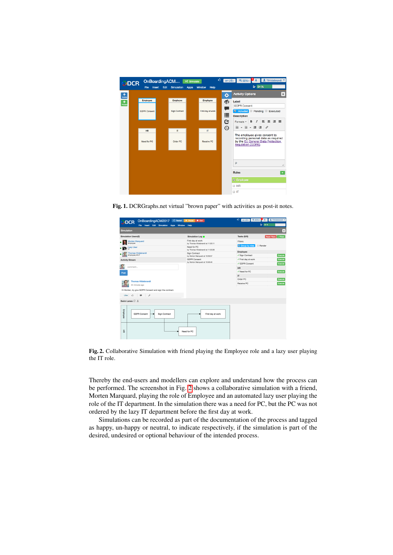

Fig. 1. DCRGraphs.net virtual "brown paper" with activities as post-it notes.

<span id="page-3-0"></span>

| OnBoardingACM2017 C Restart<br>ODCR<br>File Insert Edit Simulation<br><b>Window</b><br>Apps            | II Pause<br><b>B</b> Exit<br>Help                                                                          | ıô<br><b>显 Tthidebrandt</b><br><b>Q</b> 90%~<br>$en$ -US $\star$<br>$\triangle$<br>$1 - 53%$ |
|--------------------------------------------------------------------------------------------------------|------------------------------------------------------------------------------------------------------------|----------------------------------------------------------------------------------------------|
| Simulation                                                                                             |                                                                                                            | $\boldsymbol{\mathsf{x}}$                                                                    |
| Simulation Users(3)                                                                                    | Simulation Log <sup>O</sup>                                                                                | <b>Tasks (6/6)</b><br><b>Reset Filters</b><br>$+$ Fitters                                    |
| Morten Marguard<br>Employee<br>$\bigotimes$ Lazy User                                                  | First day at work<br>by Thomas Hildebrandt at 11:00:11<br>Need for PC<br>by Thomas Hildebrandt at 11:00:06 | Filters:<br><b>Z</b> Group by roles<br><b>Bender</b>                                         |
| <b>Thomas Hildebrandt</b><br>Employee, HR, IT                                                          | Sign Contract<br>by Morten Marguard at 10:59:57                                                            | Employee<br>✔ Sign Contract<br>Execute                                                       |
| <b>Activity Stream</b>                                                                                 | <b>GDPR Consent</b><br>by Morten Marquard at 10:59:49                                                      | Execute<br>✔ First day at work<br>.<br>GDPR Consent<br>Execute                               |
| comment<br>Post                                                                                        |                                                                                                            | -------<br><b>HR</b><br>√ Need for PC<br>Execute<br>--------<br>$^{\text{IT}}$               |
| <b>Thomas Hildebrandt</b><br>34 minutes ago<br>Hi Morten, try give GDPR Consent and sign the contract. |                                                                                                            | Order PC<br>Execute<br>Receive PC<br>Execute                                                 |
| IÔ.<br>$\blacksquare$<br>F<br>Like                                                                     |                                                                                                            |                                                                                              |
| Swim Lanes $\mathbb{C}$ <sup>+</sup>                                                                   |                                                                                                            |                                                                                              |
| Employee<br><b>GDPR Consent</b><br>Sign Contract                                                       | First day at work                                                                                          |                                                                                              |
| E                                                                                                      | Need for PC                                                                                                |                                                                                              |

<span id="page-3-1"></span>Fig. 2. Collaborative Simulation with friend playing the Employee role and a lazy user playing the IT role.

Thereby the end-users and modellers can explore and understand how the process can be performed. The screenshot in Fig. [2](#page-3-1) shows a collaborative simulation with a friend, Morten Marquard, playing the role of Employee and an automated lazy user playing the role of the IT department. In the simulation there was a need for PC, but the PC was not ordered by the lazy IT department before the first day at work.

Simulations can be recorded as part of the documentation of the process and tagged as happy, un-happy or neutral, to indicate respectively, if the simulation is part of the desired, undesired or optional behaviour of the intended process.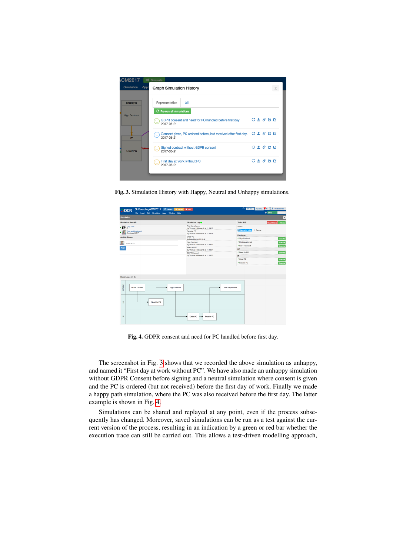| <b>CM2017</b>             | $\infty$ Simulate                                                                       |           |  |  |
|---------------------------|-----------------------------------------------------------------------------------------|-----------|--|--|
| <b>Simulation</b><br>Apps | <b>Graph Simulation History</b>                                                         |           |  |  |
| <b>Employee</b>           | Representative<br>All                                                                   |           |  |  |
| Sign Contract             | C Re-run all simulations                                                                |           |  |  |
| ⊙<br>п                    | GDPR consent and need for PC handled before first day<br>2017-05-21                     | C 1 0 0 0 |  |  |
|                           | Consent given, PC ordered before, but received after first day. C & G C G<br>2017-05-21 |           |  |  |
| Order PC                  | Signed contract without GDPR consent<br>$\left( \frac{1}{2} \right)$<br>2017-05-21      | C 1 0 0 0 |  |  |
|                           | First day at work without PC<br>2017-05-21                                              | C 1 0 0 0 |  |  |
|                           |                                                                                         |           |  |  |

<span id="page-4-0"></span>Fig. 3. Simulation History with Happy, Neutral and Unhappy simulations.

| OnBoardingACM2017 C Restart II Pause B Ext<br>ODCR<br>File Insert Edit Simulation Apps Window Help |                                                          | Ф<br>$Q_{30\%}$ $A$<br>1 Tthildebrandt<br>$en-USr$<br>$\pm 54%$ |         |
|----------------------------------------------------------------------------------------------------|----------------------------------------------------------|-----------------------------------------------------------------|---------|
| Simulation                                                                                         |                                                          |                                                                 | Γx      |
| Simulation Users(2)                                                                                | Simulation Log .                                         | <b>Tasks (6/6)</b><br>Roset Fiters + Fiters                     |         |
| $\mathbf{P}$ Lazy User                                                                             | First day at work<br>by Thomas Hildebrandt at 11:14:13   | Filters:                                                        |         |
| Thomas Hildebrandt                                                                                 | Receive PC<br>by Thomas Hildebrandt at 11:14:10          | Group by roles <b>B</b> Render                                  |         |
| <b>Activity Stream</b>                                                                             | Order PC                                                 | Employee                                                        |         |
|                                                                                                    | by Lazy User at 11:13:42<br>.                            | ✔ Sign Contract                                                 | Execute |
| comment                                                                                            | Sign Contract<br>by Thomas Hildebrandt at 11:13:41       | ✔ First day at work<br>.<br>√ GDPR Consent                      | Execute |
| Post                                                                                               | Need for PC                                              | *********<br>HR                                                 | Execute |
|                                                                                                    | by Thomas Hildebrandt at 11:13:31                        | √ Need for PC                                                   | Execute |
|                                                                                                    | <b>GDPR Consent</b><br>by Thomas Hildebrandt at 11:13:23 | <b>ARABA</b><br>$^{\text{IT}}$                                  |         |
|                                                                                                    |                                                          | √ Order PC                                                      | Execute |
|                                                                                                    |                                                          | .<br>√ Receive PC                                               | Execute |
| Swim Lanes $C \triangleq$                                                                          |                                                          |                                                                 |         |
| Employee<br><b>GDPR Consent</b><br>Sign Contract                                                   |                                                          | First day at work                                               |         |
| Ŧ<br>Need for PC                                                                                   |                                                          |                                                                 |         |
| $\equiv$                                                                                           | <b>Order PC</b><br>Receive PC                            |                                                                 |         |

<span id="page-4-1"></span>Fig. 4. GDPR consent and need for PC handled before first day.

The screenshot in Fig. [3](#page-4-0) shows that we recorded the above simulation as unhappy, and named it "First day at work without PC". We have also made an unhappy simulation without GDPR Consent before signing and a neutral simulation where consent is given and the PC is ordered (but not received) before the first day of work. Finally we made a happy path simulation, where the PC was also received before the first day. The latter example is shown in Fig. [4.](#page-4-1)

Simulations can be shared and replayed at any point, even if the process subsequently has changed. Moreover, saved simulations can be run as a test against the current version of the process, resulting in an indication by a green or red bar whether the execution trace can still be carried out. This allows a test-driven modelling approach,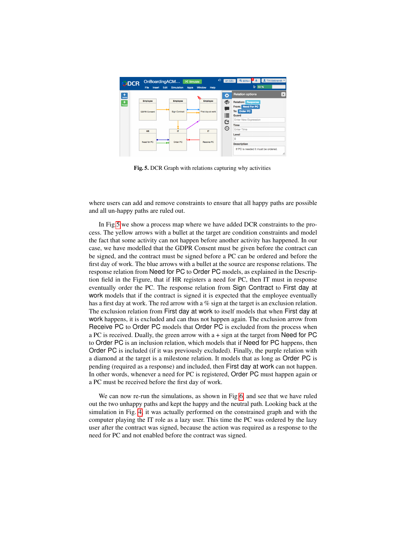

<span id="page-5-0"></span>Fig. 5. DCR Graph with relations capturing why activities

where users can add and remove constraints to ensure that all happy paths are possible and all un-happy paths are ruled out.

In Fig[.5](#page-5-0) we show a process map where we have added DCR constraints to the process. The yellow arrows with a bullet at the target are condition constraints and model the fact that some activity can not happen before another activity has happened. In our case, we have modelled that the GDPR Consent must be given before the contract can be signed, and the contract must be signed before a PC can be ordered and before the first day of work. The blue arrows with a bullet at the source are response relations. The response relation from Need for PC to Order PC models, as explained in the Description field in the Figure, that if HR registers a need for PC, then IT must in response eventually order the PC. The response relation from Sign Contract to First day at work models that if the contract is signed it is expected that the employee eventually has a first day at work. The red arrow with a % sign at the target is an exclusion relation. The exclusion relation from First day at work to itself models that when First day at work happens, it is excluded and can thus not happen again. The exclusion arrow from Receive PC to Order PC models that Order PC is excluded from the process when a PC is received. Dually, the green arrow with  $a + sign$  at the target from Need for PC to Order PC is an inclusion relation, which models that if Need for PC happens, then Order PC is included (if it was previously excluded). Finally, the purple relation with a diamond at the target is a milestone relation. It models that as long as Order PC is pending (required as a response) and included, then First day at work can not happen. In other words, whenever a need for PC is registered, Order PC must happen again or a PC must be received before the first day of work.

We can now re-run the simulations, as shown in Fig [6,](#page-6-0) and see that we have ruled out the two unhappy paths and kept the happy and the neutral path. Looking back at the simulation in Fig. [4,](#page-4-1) it was actually performed on the constrained graph and with the computer playing the IT role as a lazy user. This time the PC was ordered by the lazy user after the contract was signed, because the action was required as a response to the need for PC and not enabled before the contract was signed.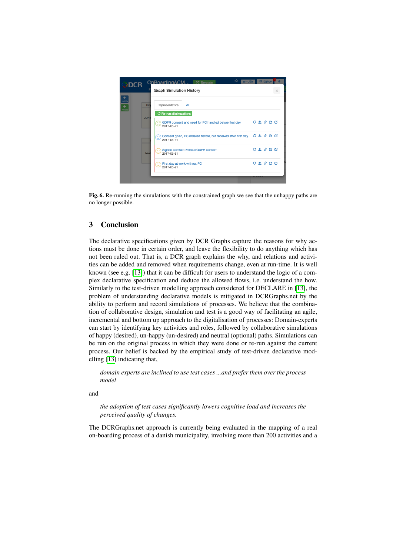

<span id="page-6-0"></span>Fig. 6. Re-running the simulations with the constrained graph we see that the unhappy paths are no longer possible.

# 3 Conclusion

The declarative specifications given by DCR Graphs capture the reasons for why actions must be done in certain order, and leave the flexibility to do anything which has not been ruled out. That is, a DCR graph explains the why, and relations and activities can be added and removed when requirements change, even at run-time. It is well known (see e.g. [\[13\]](#page-7-11)) that it can be difficult for users to understand the logic of a complex declarative specification and deduce the allowed flows, i.e. understand the how. Similarly to the test-driven modelling approach considered for DECLARE in [\[13\]](#page-7-11), the problem of understanding declarative models is mitigated in DCRGraphs.net by the ability to perform and record simulations of processes. We believe that the combination of collaborative design, simulation and test is a good way of facilitating an agile, incremental and bottom up approach to the digitalisation of processes: Domain-experts can start by identifying key activities and roles, followed by collaborative simulations of happy (desired), un-happy (un-desired) and neutral (optional) paths. Simulations can be run on the original process in which they were done or re-run against the current process. Our belief is backed by the empirical study of test-driven declarative modelling [\[13\]](#page-7-11) indicating that,

*domain experts are inclined to use test cases ...and prefer them over the process model*

and

*the adoption of test cases significantly lowers cognitive load and increases the perceived quality of changes.*

The DCRGraphs.net approach is currently being evaluated in the mapping of a real on-boarding process of a danish municipality, involving more than 200 activities and a